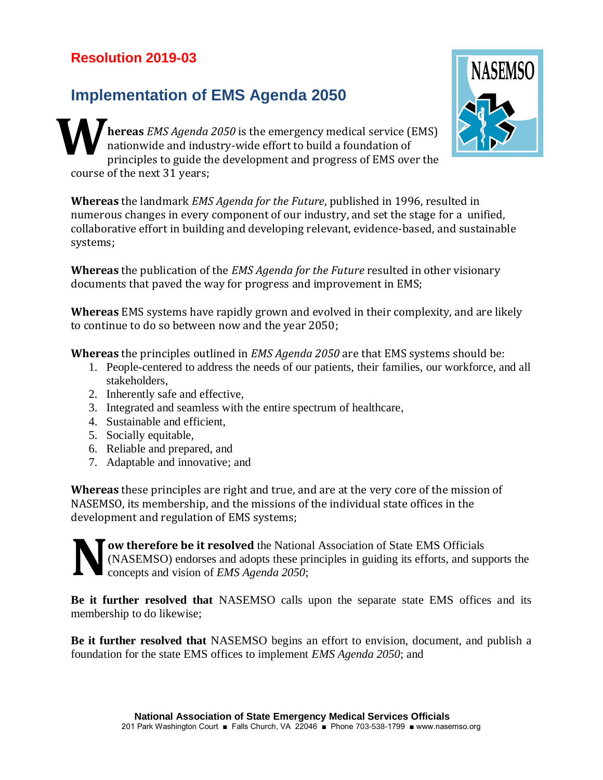## **Resolution 2019-03**

## **Implementation of EMS Agenda 2050**

**hereas** *EMS Agenda 2050* is the emergency medical service (EMS) nationwide and industry-wide effort to build a foundation of principles to guide the development and progress of EMS over the course of the next 31 years; **W**

**Whereas** the landmark *EMS Agenda for the Future*, published in 1996, resulted in numerous changes in every component of our industry, and set the stage for a unified, collaborative effort in building and developing relevant, evidence-based, and sustainable systems;

**Whereas** the publication of the *EMS Agenda for the Future* resulted in other visionary documents that paved the way for progress and improvement in EMS;

**Whereas** EMS systems have rapidly grown and evolved in their complexity, and are likely to continue to do so between now and the year 2050;

**Whereas** the principles outlined in *EMS Agenda 2050* are that EMS systems should be:

- 1. People-centered to address the needs of our patients, their families, our workforce, and all stakeholders,
- 2. Inherently safe and effective,
- 3. Integrated and seamless with the entire spectrum of healthcare,
- 4. Sustainable and efficient,
- 5. Socially equitable,
- 6. Reliable and prepared, and
- 7. Adaptable and innovative; and

**Whereas** these principles are right and true, and are at the very core of the mission of NASEMSO, its membership, and the missions of the individual state offices in the development and regulation of EMS systems;

**ow therefore be it resolved** the National Association of State EMS Officials (NASEMSO) endorses and adopts these principles in guiding its efforts, and supports the concepts and vision of *EMS Agenda 2050*; **N**

**Be it further resolved that** NASEMSO calls upon the separate state EMS offices and its membership to do likewise;

**Be it further resolved that** NASEMSO begins an effort to envision, document, and publish a foundation for the state EMS offices to implement *EMS Agenda 2050*; and